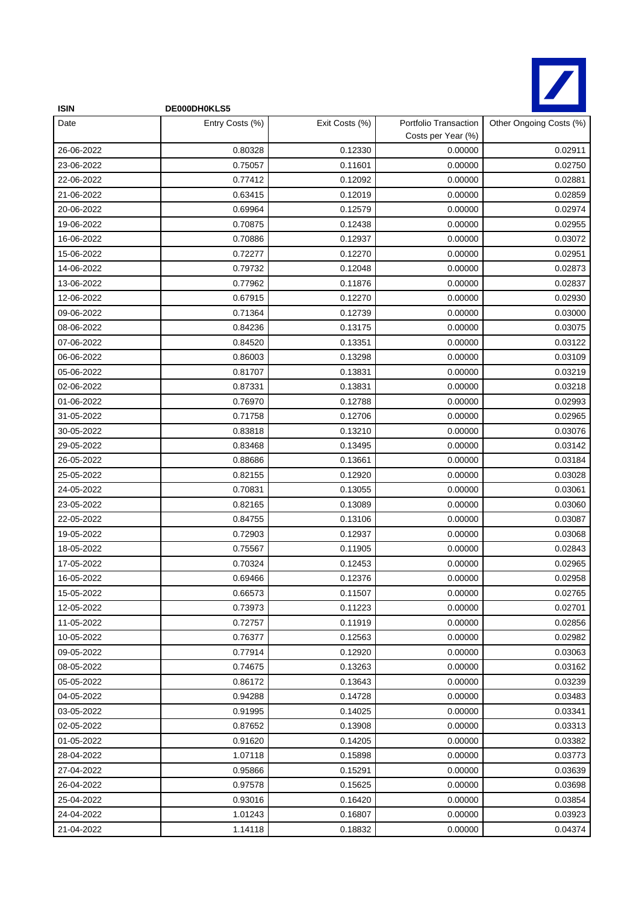

| <b>ISIN</b> | DE000DH0KLS5    |                |                                             |                         |
|-------------|-----------------|----------------|---------------------------------------------|-------------------------|
| Date        | Entry Costs (%) | Exit Costs (%) | Portfolio Transaction<br>Costs per Year (%) | Other Ongoing Costs (%) |
| 26-06-2022  | 0.80328         | 0.12330        | 0.00000                                     | 0.02911                 |
| 23-06-2022  | 0.75057         | 0.11601        | 0.00000                                     | 0.02750                 |
| 22-06-2022  | 0.77412         | 0.12092        | 0.00000                                     | 0.02881                 |
| 21-06-2022  | 0.63415         | 0.12019        | 0.00000                                     | 0.02859                 |
| 20-06-2022  | 0.69964         | 0.12579        | 0.00000                                     | 0.02974                 |
| 19-06-2022  | 0.70875         | 0.12438        | 0.00000                                     | 0.02955                 |
| 16-06-2022  | 0.70886         | 0.12937        | 0.00000                                     | 0.03072                 |
| 15-06-2022  | 0.72277         | 0.12270        | 0.00000                                     | 0.02951                 |
| 14-06-2022  | 0.79732         | 0.12048        | 0.00000                                     | 0.02873                 |
| 13-06-2022  | 0.77962         | 0.11876        | 0.00000                                     | 0.02837                 |
| 12-06-2022  | 0.67915         | 0.12270        | 0.00000                                     | 0.02930                 |
| 09-06-2022  | 0.71364         | 0.12739        | 0.00000                                     | 0.03000                 |
| 08-06-2022  | 0.84236         | 0.13175        | 0.00000                                     | 0.03075                 |
| 07-06-2022  | 0.84520         | 0.13351        | 0.00000                                     | 0.03122                 |
| 06-06-2022  | 0.86003         | 0.13298        | 0.00000                                     | 0.03109                 |
| 05-06-2022  | 0.81707         | 0.13831        | 0.00000                                     | 0.03219                 |
| 02-06-2022  | 0.87331         | 0.13831        | 0.00000                                     | 0.03218                 |
| 01-06-2022  | 0.76970         | 0.12788        | 0.00000                                     | 0.02993                 |
| 31-05-2022  | 0.71758         | 0.12706        | 0.00000                                     | 0.02965                 |
| 30-05-2022  | 0.83818         | 0.13210        | 0.00000                                     | 0.03076                 |
| 29-05-2022  | 0.83468         | 0.13495        | 0.00000                                     | 0.03142                 |
| 26-05-2022  | 0.88686         | 0.13661        | 0.00000                                     | 0.03184                 |
| 25-05-2022  | 0.82155         | 0.12920        | 0.00000                                     | 0.03028                 |
| 24-05-2022  | 0.70831         | 0.13055        | 0.00000                                     | 0.03061                 |
| 23-05-2022  | 0.82165         | 0.13089        | 0.00000                                     | 0.03060                 |
| 22-05-2022  | 0.84755         | 0.13106        | 0.00000                                     | 0.03087                 |
| 19-05-2022  | 0.72903         | 0.12937        | 0.00000                                     | 0.03068                 |
| 18-05-2022  | 0.75567         | 0.11905        | 0.00000                                     | 0.02843                 |
| 17-05-2022  | 0.70324         | 0.12453        | 0.00000                                     | 0.02965                 |
| 16-05-2022  | 0.69466         | 0.12376        | 0.00000                                     | 0.02958                 |
| 15-05-2022  | 0.66573         | 0.11507        | 0.00000                                     | 0.02765                 |
| 12-05-2022  | 0.73973         | 0.11223        | 0.00000                                     | 0.02701                 |
| 11-05-2022  | 0.72757         | 0.11919        | 0.00000                                     | 0.02856                 |
| 10-05-2022  | 0.76377         | 0.12563        | 0.00000                                     | 0.02982                 |
| 09-05-2022  | 0.77914         | 0.12920        | 0.00000                                     | 0.03063                 |
| 08-05-2022  | 0.74675         | 0.13263        | 0.00000                                     | 0.03162                 |
| 05-05-2022  | 0.86172         | 0.13643        | 0.00000                                     | 0.03239                 |
| 04-05-2022  | 0.94288         | 0.14728        | 0.00000                                     | 0.03483                 |
| 03-05-2022  | 0.91995         | 0.14025        | 0.00000                                     | 0.03341                 |
| 02-05-2022  | 0.87652         | 0.13908        | 0.00000                                     | 0.03313                 |
| 01-05-2022  | 0.91620         | 0.14205        | 0.00000                                     | 0.03382                 |
| 28-04-2022  | 1.07118         | 0.15898        | 0.00000                                     | 0.03773                 |
| 27-04-2022  | 0.95866         | 0.15291        | 0.00000                                     | 0.03639                 |
| 26-04-2022  | 0.97578         | 0.15625        | 0.00000                                     | 0.03698                 |
| 25-04-2022  | 0.93016         | 0.16420        | 0.00000                                     | 0.03854                 |
| 24-04-2022  | 1.01243         | 0.16807        | 0.00000                                     | 0.03923                 |
| 21-04-2022  | 1.14118         | 0.18832        | 0.00000                                     | 0.04374                 |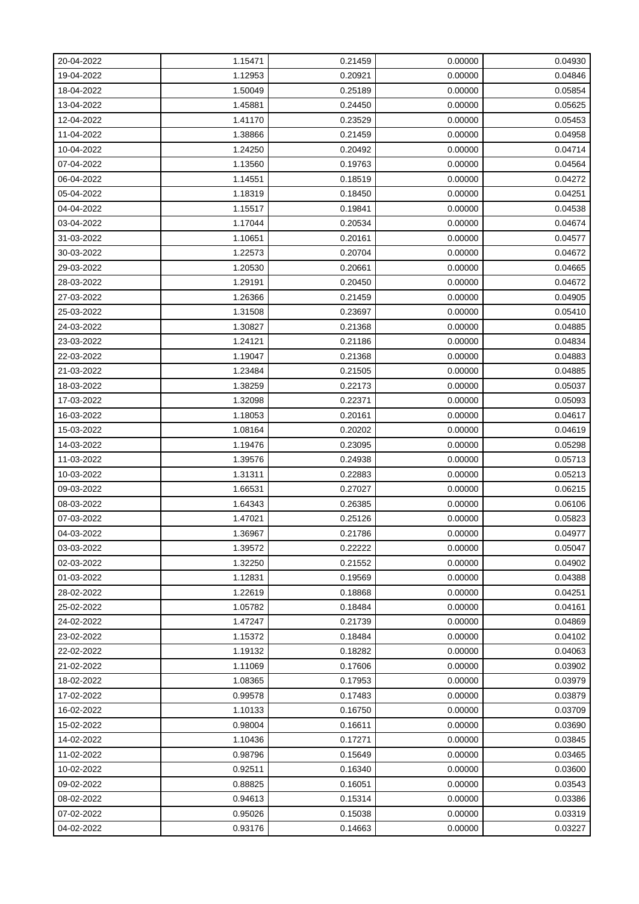| 20-04-2022 | 1.15471 | 0.21459 | 0.00000 | 0.04930 |
|------------|---------|---------|---------|---------|
| 19-04-2022 | 1.12953 | 0.20921 | 0.00000 | 0.04846 |
| 18-04-2022 | 1.50049 | 0.25189 | 0.00000 | 0.05854 |
| 13-04-2022 | 1.45881 | 0.24450 | 0.00000 | 0.05625 |
| 12-04-2022 | 1.41170 | 0.23529 | 0.00000 | 0.05453 |
| 11-04-2022 | 1.38866 | 0.21459 | 0.00000 | 0.04958 |
| 10-04-2022 | 1.24250 | 0.20492 | 0.00000 | 0.04714 |
| 07-04-2022 | 1.13560 | 0.19763 | 0.00000 | 0.04564 |
| 06-04-2022 | 1.14551 | 0.18519 | 0.00000 | 0.04272 |
| 05-04-2022 | 1.18319 | 0.18450 | 0.00000 | 0.04251 |
| 04-04-2022 | 1.15517 | 0.19841 | 0.00000 | 0.04538 |
| 03-04-2022 | 1.17044 | 0.20534 | 0.00000 | 0.04674 |
| 31-03-2022 | 1.10651 | 0.20161 | 0.00000 | 0.04577 |
| 30-03-2022 | 1.22573 | 0.20704 | 0.00000 | 0.04672 |
| 29-03-2022 | 1.20530 | 0.20661 | 0.00000 | 0.04665 |
| 28-03-2022 | 1.29191 | 0.20450 | 0.00000 | 0.04672 |
| 27-03-2022 | 1.26366 | 0.21459 | 0.00000 | 0.04905 |
| 25-03-2022 | 1.31508 | 0.23697 | 0.00000 | 0.05410 |
| 24-03-2022 | 1.30827 | 0.21368 | 0.00000 | 0.04885 |
| 23-03-2022 | 1.24121 | 0.21186 | 0.00000 | 0.04834 |
| 22-03-2022 | 1.19047 | 0.21368 | 0.00000 | 0.04883 |
| 21-03-2022 | 1.23484 | 0.21505 | 0.00000 | 0.04885 |
| 18-03-2022 | 1.38259 | 0.22173 | 0.00000 | 0.05037 |
| 17-03-2022 | 1.32098 | 0.22371 | 0.00000 | 0.05093 |
| 16-03-2022 | 1.18053 | 0.20161 | 0.00000 | 0.04617 |
| 15-03-2022 | 1.08164 | 0.20202 | 0.00000 | 0.04619 |
| 14-03-2022 | 1.19476 | 0.23095 | 0.00000 | 0.05298 |
| 11-03-2022 | 1.39576 | 0.24938 | 0.00000 | 0.05713 |
| 10-03-2022 | 1.31311 | 0.22883 | 0.00000 | 0.05213 |
| 09-03-2022 | 1.66531 | 0.27027 | 0.00000 | 0.06215 |
| 08-03-2022 | 1.64343 | 0.26385 | 0.00000 | 0.06106 |
| 07-03-2022 | 1.47021 | 0.25126 | 0.00000 | 0.05823 |
| 04-03-2022 | 1.36967 | 0.21786 | 0.00000 | 0.04977 |
| 03-03-2022 | 1.39572 | 0.22222 | 0.00000 | 0.05047 |
| 02-03-2022 | 1.32250 | 0.21552 | 0.00000 | 0.04902 |
| 01-03-2022 | 1.12831 | 0.19569 | 0.00000 | 0.04388 |
| 28-02-2022 | 1.22619 | 0.18868 | 0.00000 | 0.04251 |
| 25-02-2022 | 1.05782 | 0.18484 | 0.00000 | 0.04161 |
| 24-02-2022 | 1.47247 | 0.21739 | 0.00000 | 0.04869 |
| 23-02-2022 | 1.15372 | 0.18484 | 0.00000 | 0.04102 |
| 22-02-2022 | 1.19132 | 0.18282 | 0.00000 | 0.04063 |
| 21-02-2022 | 1.11069 | 0.17606 | 0.00000 | 0.03902 |
| 18-02-2022 | 1.08365 | 0.17953 | 0.00000 | 0.03979 |
| 17-02-2022 | 0.99578 | 0.17483 | 0.00000 | 0.03879 |
| 16-02-2022 | 1.10133 | 0.16750 | 0.00000 | 0.03709 |
| 15-02-2022 | 0.98004 | 0.16611 | 0.00000 | 0.03690 |
| 14-02-2022 | 1.10436 | 0.17271 | 0.00000 | 0.03845 |
| 11-02-2022 | 0.98796 | 0.15649 | 0.00000 | 0.03465 |
| 10-02-2022 | 0.92511 | 0.16340 | 0.00000 | 0.03600 |
| 09-02-2022 | 0.88825 | 0.16051 | 0.00000 | 0.03543 |
| 08-02-2022 | 0.94613 | 0.15314 | 0.00000 | 0.03386 |
| 07-02-2022 | 0.95026 | 0.15038 | 0.00000 | 0.03319 |
| 04-02-2022 | 0.93176 | 0.14663 | 0.00000 | 0.03227 |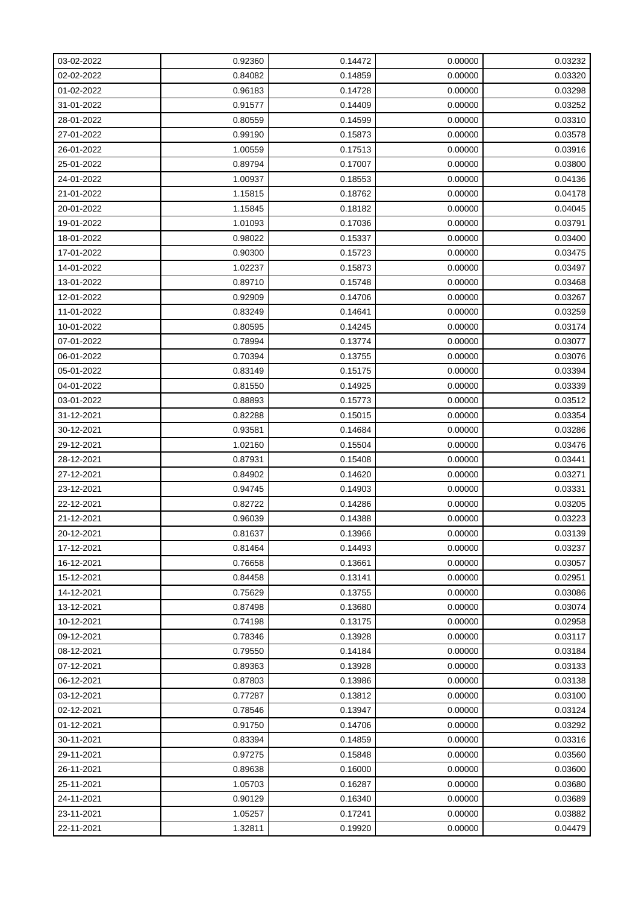| 03-02-2022 | 0.92360 | 0.14472 | 0.00000 | 0.03232 |
|------------|---------|---------|---------|---------|
| 02-02-2022 | 0.84082 | 0.14859 | 0.00000 | 0.03320 |
| 01-02-2022 | 0.96183 | 0.14728 | 0.00000 | 0.03298 |
| 31-01-2022 | 0.91577 | 0.14409 | 0.00000 | 0.03252 |
| 28-01-2022 | 0.80559 | 0.14599 | 0.00000 | 0.03310 |
| 27-01-2022 | 0.99190 | 0.15873 | 0.00000 | 0.03578 |
| 26-01-2022 | 1.00559 | 0.17513 | 0.00000 | 0.03916 |
| 25-01-2022 | 0.89794 | 0.17007 | 0.00000 | 0.03800 |
| 24-01-2022 | 1.00937 | 0.18553 | 0.00000 | 0.04136 |
| 21-01-2022 | 1.15815 | 0.18762 | 0.00000 | 0.04178 |
| 20-01-2022 | 1.15845 | 0.18182 | 0.00000 | 0.04045 |
| 19-01-2022 | 1.01093 | 0.17036 | 0.00000 | 0.03791 |
| 18-01-2022 | 0.98022 | 0.15337 | 0.00000 | 0.03400 |
| 17-01-2022 | 0.90300 | 0.15723 | 0.00000 | 0.03475 |
| 14-01-2022 | 1.02237 | 0.15873 | 0.00000 | 0.03497 |
| 13-01-2022 | 0.89710 | 0.15748 | 0.00000 | 0.03468 |
| 12-01-2022 | 0.92909 | 0.14706 | 0.00000 | 0.03267 |
| 11-01-2022 | 0.83249 | 0.14641 | 0.00000 | 0.03259 |
| 10-01-2022 | 0.80595 | 0.14245 | 0.00000 | 0.03174 |
| 07-01-2022 | 0.78994 | 0.13774 | 0.00000 | 0.03077 |
| 06-01-2022 | 0.70394 | 0.13755 | 0.00000 | 0.03076 |
| 05-01-2022 | 0.83149 | 0.15175 | 0.00000 | 0.03394 |
| 04-01-2022 | 0.81550 | 0.14925 | 0.00000 | 0.03339 |
| 03-01-2022 | 0.88893 | 0.15773 | 0.00000 | 0.03512 |
| 31-12-2021 | 0.82288 | 0.15015 | 0.00000 | 0.03354 |
| 30-12-2021 | 0.93581 | 0.14684 | 0.00000 | 0.03286 |
| 29-12-2021 | 1.02160 | 0.15504 | 0.00000 | 0.03476 |
| 28-12-2021 | 0.87931 | 0.15408 | 0.00000 | 0.03441 |
| 27-12-2021 | 0.84902 | 0.14620 | 0.00000 | 0.03271 |
| 23-12-2021 | 0.94745 | 0.14903 | 0.00000 | 0.03331 |
| 22-12-2021 | 0.82722 | 0.14286 | 0.00000 | 0.03205 |
| 21-12-2021 | 0.96039 | 0.14388 | 0.00000 | 0.03223 |
| 20-12-2021 | 0.81637 | 0.13966 | 0.00000 | 0.03139 |
| 17-12-2021 | 0.81464 | 0.14493 | 0.00000 | 0.03237 |
| 16-12-2021 | 0.76658 | 0.13661 | 0.00000 | 0.03057 |
| 15-12-2021 | 0.84458 | 0.13141 | 0.00000 | 0.02951 |
| 14-12-2021 | 0.75629 | 0.13755 | 0.00000 | 0.03086 |
| 13-12-2021 | 0.87498 | 0.13680 | 0.00000 | 0.03074 |
| 10-12-2021 | 0.74198 | 0.13175 | 0.00000 | 0.02958 |
| 09-12-2021 | 0.78346 | 0.13928 | 0.00000 | 0.03117 |
| 08-12-2021 | 0.79550 | 0.14184 | 0.00000 | 0.03184 |
| 07-12-2021 | 0.89363 | 0.13928 | 0.00000 | 0.03133 |
| 06-12-2021 | 0.87803 | 0.13986 | 0.00000 | 0.03138 |
| 03-12-2021 | 0.77287 | 0.13812 | 0.00000 | 0.03100 |
| 02-12-2021 | 0.78546 | 0.13947 | 0.00000 | 0.03124 |
| 01-12-2021 | 0.91750 | 0.14706 | 0.00000 | 0.03292 |
| 30-11-2021 | 0.83394 | 0.14859 | 0.00000 | 0.03316 |
| 29-11-2021 | 0.97275 | 0.15848 | 0.00000 | 0.03560 |
| 26-11-2021 | 0.89638 | 0.16000 | 0.00000 | 0.03600 |
| 25-11-2021 | 1.05703 | 0.16287 | 0.00000 | 0.03680 |
| 24-11-2021 | 0.90129 | 0.16340 | 0.00000 | 0.03689 |
| 23-11-2021 | 1.05257 | 0.17241 | 0.00000 | 0.03882 |
| 22-11-2021 | 1.32811 | 0.19920 | 0.00000 | 0.04479 |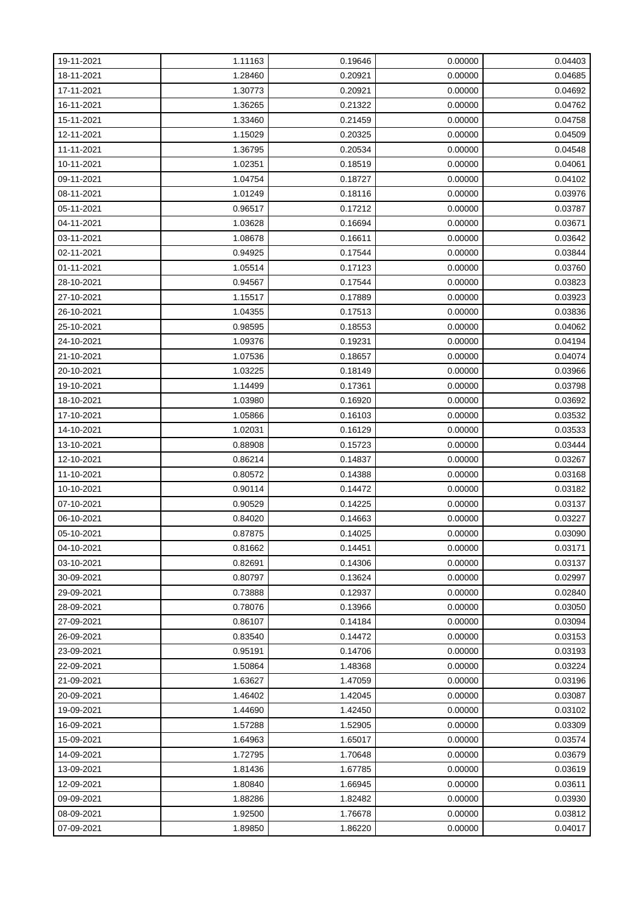| 19-11-2021 | 1.11163 | 0.19646 | 0.00000 | 0.04403 |
|------------|---------|---------|---------|---------|
| 18-11-2021 | 1.28460 | 0.20921 | 0.00000 | 0.04685 |
| 17-11-2021 | 1.30773 | 0.20921 | 0.00000 | 0.04692 |
| 16-11-2021 | 1.36265 | 0.21322 | 0.00000 | 0.04762 |
| 15-11-2021 | 1.33460 | 0.21459 | 0.00000 | 0.04758 |
| 12-11-2021 | 1.15029 | 0.20325 | 0.00000 | 0.04509 |
| 11-11-2021 | 1.36795 | 0.20534 | 0.00000 | 0.04548 |
| 10-11-2021 | 1.02351 | 0.18519 | 0.00000 | 0.04061 |
| 09-11-2021 | 1.04754 | 0.18727 | 0.00000 | 0.04102 |
| 08-11-2021 | 1.01249 | 0.18116 | 0.00000 | 0.03976 |
| 05-11-2021 | 0.96517 | 0.17212 | 0.00000 | 0.03787 |
| 04-11-2021 | 1.03628 | 0.16694 | 0.00000 | 0.03671 |
| 03-11-2021 | 1.08678 | 0.16611 | 0.00000 | 0.03642 |
| 02-11-2021 | 0.94925 | 0.17544 | 0.00000 | 0.03844 |
| 01-11-2021 | 1.05514 | 0.17123 | 0.00000 | 0.03760 |
| 28-10-2021 | 0.94567 | 0.17544 | 0.00000 | 0.03823 |
| 27-10-2021 | 1.15517 | 0.17889 | 0.00000 | 0.03923 |
| 26-10-2021 | 1.04355 | 0.17513 | 0.00000 | 0.03836 |
| 25-10-2021 | 0.98595 | 0.18553 | 0.00000 | 0.04062 |
| 24-10-2021 | 1.09376 | 0.19231 | 0.00000 | 0.04194 |
| 21-10-2021 | 1.07536 | 0.18657 | 0.00000 | 0.04074 |
| 20-10-2021 | 1.03225 | 0.18149 | 0.00000 | 0.03966 |
| 19-10-2021 | 1.14499 | 0.17361 | 0.00000 | 0.03798 |
| 18-10-2021 | 1.03980 | 0.16920 | 0.00000 | 0.03692 |
| 17-10-2021 | 1.05866 | 0.16103 | 0.00000 | 0.03532 |
| 14-10-2021 | 1.02031 | 0.16129 | 0.00000 | 0.03533 |
| 13-10-2021 | 0.88908 | 0.15723 | 0.00000 | 0.03444 |
| 12-10-2021 | 0.86214 | 0.14837 | 0.00000 | 0.03267 |
| 11-10-2021 | 0.80572 | 0.14388 | 0.00000 | 0.03168 |
| 10-10-2021 | 0.90114 | 0.14472 | 0.00000 | 0.03182 |
| 07-10-2021 | 0.90529 | 0.14225 | 0.00000 | 0.03137 |
| 06-10-2021 | 0.84020 | 0.14663 | 0.00000 | 0.03227 |
| 05-10-2021 | 0.87875 | 0.14025 | 0.00000 | 0.03090 |
| 04-10-2021 | 0.81662 | 0.14451 | 0.00000 | 0.03171 |
| 03-10-2021 | 0.82691 | 0.14306 | 0.00000 | 0.03137 |
| 30-09-2021 | 0.80797 | 0.13624 | 0.00000 | 0.02997 |
| 29-09-2021 | 0.73888 | 0.12937 | 0.00000 | 0.02840 |
| 28-09-2021 | 0.78076 | 0.13966 | 0.00000 | 0.03050 |
| 27-09-2021 | 0.86107 | 0.14184 | 0.00000 | 0.03094 |
| 26-09-2021 | 0.83540 | 0.14472 | 0.00000 | 0.03153 |
| 23-09-2021 | 0.95191 | 0.14706 | 0.00000 | 0.03193 |
| 22-09-2021 | 1.50864 | 1.48368 | 0.00000 | 0.03224 |
| 21-09-2021 | 1.63627 | 1.47059 | 0.00000 | 0.03196 |
| 20-09-2021 | 1.46402 | 1.42045 | 0.00000 | 0.03087 |
| 19-09-2021 | 1.44690 | 1.42450 | 0.00000 | 0.03102 |
| 16-09-2021 | 1.57288 | 1.52905 | 0.00000 | 0.03309 |
| 15-09-2021 | 1.64963 | 1.65017 | 0.00000 | 0.03574 |
| 14-09-2021 | 1.72795 | 1.70648 | 0.00000 | 0.03679 |
| 13-09-2021 | 1.81436 | 1.67785 | 0.00000 | 0.03619 |
| 12-09-2021 | 1.80840 | 1.66945 | 0.00000 | 0.03611 |
| 09-09-2021 | 1.88286 | 1.82482 | 0.00000 | 0.03930 |
| 08-09-2021 | 1.92500 | 1.76678 | 0.00000 | 0.03812 |
| 07-09-2021 | 1.89850 | 1.86220 | 0.00000 | 0.04017 |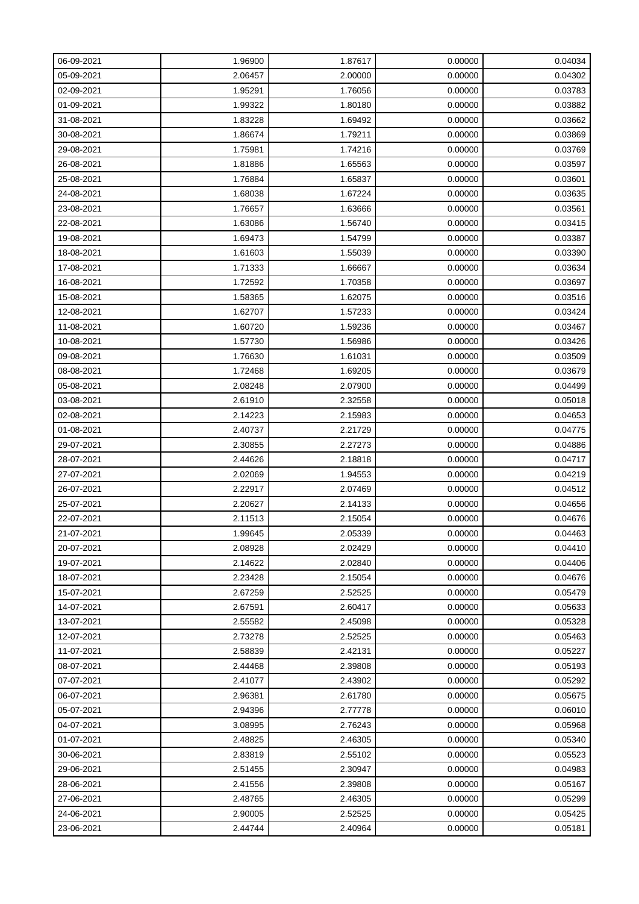| 06-09-2021 | 1.96900 | 1.87617 | 0.00000 | 0.04034 |
|------------|---------|---------|---------|---------|
| 05-09-2021 | 2.06457 | 2.00000 | 0.00000 | 0.04302 |
| 02-09-2021 | 1.95291 | 1.76056 | 0.00000 | 0.03783 |
| 01-09-2021 | 1.99322 | 1.80180 | 0.00000 | 0.03882 |
| 31-08-2021 | 1.83228 | 1.69492 | 0.00000 | 0.03662 |
| 30-08-2021 | 1.86674 | 1.79211 | 0.00000 | 0.03869 |
| 29-08-2021 | 1.75981 | 1.74216 | 0.00000 | 0.03769 |
| 26-08-2021 | 1.81886 | 1.65563 | 0.00000 | 0.03597 |
| 25-08-2021 | 1.76884 | 1.65837 | 0.00000 | 0.03601 |
| 24-08-2021 | 1.68038 | 1.67224 | 0.00000 | 0.03635 |
| 23-08-2021 | 1.76657 | 1.63666 | 0.00000 | 0.03561 |
| 22-08-2021 | 1.63086 | 1.56740 | 0.00000 | 0.03415 |
| 19-08-2021 | 1.69473 | 1.54799 | 0.00000 | 0.03387 |
| 18-08-2021 | 1.61603 | 1.55039 | 0.00000 | 0.03390 |
| 17-08-2021 | 1.71333 | 1.66667 | 0.00000 | 0.03634 |
| 16-08-2021 | 1.72592 | 1.70358 | 0.00000 | 0.03697 |
| 15-08-2021 | 1.58365 | 1.62075 | 0.00000 | 0.03516 |
| 12-08-2021 | 1.62707 | 1.57233 | 0.00000 | 0.03424 |
| 11-08-2021 | 1.60720 | 1.59236 | 0.00000 | 0.03467 |
| 10-08-2021 | 1.57730 | 1.56986 | 0.00000 | 0.03426 |
| 09-08-2021 | 1.76630 | 1.61031 | 0.00000 | 0.03509 |
| 08-08-2021 | 1.72468 | 1.69205 | 0.00000 | 0.03679 |
| 05-08-2021 | 2.08248 | 2.07900 | 0.00000 | 0.04499 |
| 03-08-2021 | 2.61910 | 2.32558 | 0.00000 | 0.05018 |
| 02-08-2021 | 2.14223 | 2.15983 | 0.00000 | 0.04653 |
| 01-08-2021 | 2.40737 | 2.21729 | 0.00000 | 0.04775 |
| 29-07-2021 | 2.30855 | 2.27273 | 0.00000 | 0.04886 |
| 28-07-2021 | 2.44626 | 2.18818 | 0.00000 | 0.04717 |
| 27-07-2021 | 2.02069 | 1.94553 | 0.00000 | 0.04219 |
| 26-07-2021 | 2.22917 | 2.07469 | 0.00000 | 0.04512 |
| 25-07-2021 | 2.20627 | 2.14133 | 0.00000 | 0.04656 |
| 22-07-2021 | 2.11513 | 2.15054 | 0.00000 | 0.04676 |
| 21-07-2021 | 1.99645 | 2.05339 | 0.00000 | 0.04463 |
| 20-07-2021 | 2.08928 | 2.02429 | 0.00000 | 0.04410 |
| 19-07-2021 | 2.14622 | 2.02840 | 0.00000 | 0.04406 |
| 18-07-2021 | 2.23428 | 2.15054 | 0.00000 | 0.04676 |
| 15-07-2021 | 2.67259 | 2.52525 | 0.00000 | 0.05479 |
| 14-07-2021 | 2.67591 | 2.60417 | 0.00000 | 0.05633 |
| 13-07-2021 | 2.55582 | 2.45098 | 0.00000 | 0.05328 |
| 12-07-2021 | 2.73278 | 2.52525 | 0.00000 | 0.05463 |
| 11-07-2021 | 2.58839 | 2.42131 | 0.00000 | 0.05227 |
| 08-07-2021 | 2.44468 | 2.39808 | 0.00000 | 0.05193 |
| 07-07-2021 | 2.41077 | 2.43902 | 0.00000 | 0.05292 |
| 06-07-2021 | 2.96381 | 2.61780 | 0.00000 | 0.05675 |
| 05-07-2021 | 2.94396 | 2.77778 | 0.00000 | 0.06010 |
| 04-07-2021 | 3.08995 | 2.76243 | 0.00000 | 0.05968 |
| 01-07-2021 | 2.48825 | 2.46305 | 0.00000 | 0.05340 |
| 30-06-2021 | 2.83819 | 2.55102 | 0.00000 | 0.05523 |
| 29-06-2021 | 2.51455 | 2.30947 | 0.00000 | 0.04983 |
| 28-06-2021 | 2.41556 | 2.39808 | 0.00000 | 0.05167 |
| 27-06-2021 | 2.48765 | 2.46305 | 0.00000 | 0.05299 |
| 24-06-2021 | 2.90005 | 2.52525 | 0.00000 | 0.05425 |
| 23-06-2021 | 2.44744 | 2.40964 | 0.00000 | 0.05181 |